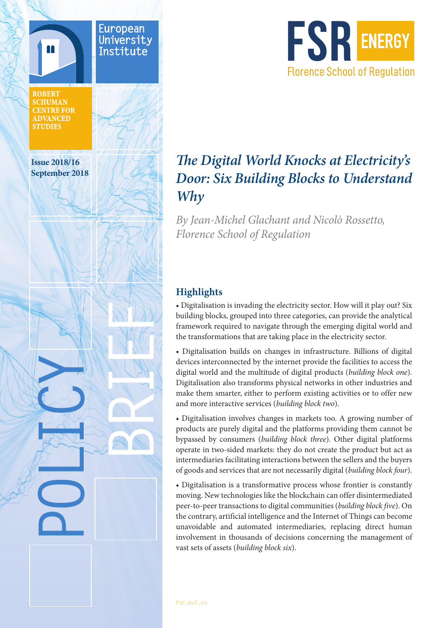



# *The Digital World Knocks at Electricity's Door: Six Building Blocks to Understand Why*

*By Jean-Michel Glachant and Nicolò Rossetto, Florence School of Regulation*

## **Highlights**

• Digitalisation is invading the electricity sector. How will it play out? Six building blocks, grouped into three categories, can provide the analytical framework required to navigate through the emerging digital world and the transformations that are taking place in the electricity sector.

• Digitalisation builds on changes in infrastructure. Billions of digital devices interconnected by the internet provide the facilities to access the digital world and the multitude of digital products (*building block one*). Digitalisation also transforms physical networks in other industries and make them smarter, either to perform existing activities or to offer new and more interactive services (*building block two*).

• Digitalisation involves changes in markets too. A growing number of products are purely digital and the platforms providing them cannot be bypassed by consumers (*building block three*). Other digital platforms operate in two-sided markets: they do not create the product but act as intermediaries facilitating interactions between the sellers and the buyers of goods and services that are not necessarily digital (*building block four*).

• Digitalisation is a transformative process whose frontier is constantly moving. New technologies like the blockchain can offer disintermediated peer-to-peer transactions to digital communities (*building block five*). On the contrary, artificial intelligence and the Internet of Things can become unavoidable and automated intermediaries, replacing direct human involvement in thousands of decisions concerning the management of vast sets of assets (*building block six*).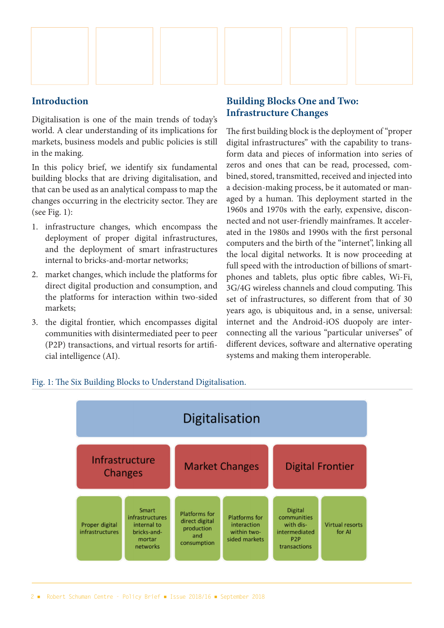

#### **Introduction**

Digitalisation is one of the main trends of today's world. A clear understanding of its implications for markets, business models and public policies is still in the making.

In this policy brief, we identify six fundamental building blocks that are driving digitalisation, and that can be used as an analytical compass to map the changes occurring in the electricity sector. They are (see Fig. 1):

- 1. infrastructure changes, which encompass the deployment of proper digital infrastructures, and the deployment of smart infrastructures internal to bricks-and-mortar networks;
- 2. market changes, which include the platforms for direct digital production and consumption, and the platforms for interaction within two-sided markets;
- 3. the digital frontier, which encompasses digital communities with disintermediated peer to peer (P2P) transactions, and virtual resorts for artificial intelligence (AI).

## **Building Blocks One and Two: Infrastructure Changes**

The first building block is the deployment of "proper digital infrastructures" with the capability to transform data and pieces of information into series of zeros and ones that can be read, processed, combined, stored, transmitted, received and injected into a decision-making process, be it automated or managed by a human. This deployment started in the 1960s and 1970s with the early, expensive, disconnected and not user-friendly mainframes. It accelerated in the 1980s and 1990s with the first personal computers and the birth of the "internet", linking all the local digital networks. It is now proceeding at full speed with the introduction of billions of smartphones and tablets, plus optic fibre cables, Wi-Fi, 3G/4G wireless channels and cloud computing. This set of infrastructures, so different from that of 30 years ago, is ubiquitous and, in a sense, universal: internet and the Android-iOS duopoly are interconnecting all the various "particular universes" of different devices, software and alternative operating systems and making them interoperable.



#### Fig. 1: The Six Building Blocks to Understand Digitalisation.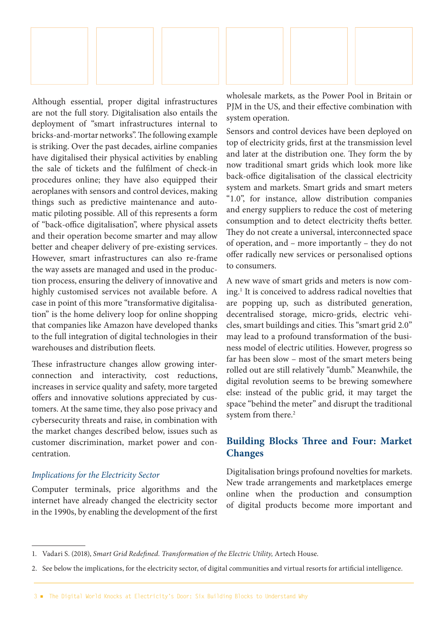

Although essential, proper digital infrastructures are not the full story. Digitalisation also entails the deployment of "smart infrastructures internal to bricks-and-mortar networks". The following example is striking. Over the past decades, airline companies have digitalised their physical activities by enabling the sale of tickets and the fulfilment of check-in procedures online; they have also equipped their aeroplanes with sensors and control devices, making things such as predictive maintenance and automatic piloting possible. All of this represents a form of "back-office digitalisation", where physical assets and their operation become smarter and may allow better and cheaper delivery of pre-existing services. However, smart infrastructures can also re-frame the way assets are managed and used in the production process, ensuring the delivery of innovative and highly customised services not available before. A case in point of this more "transformative digitalisation" is the home delivery loop for online shopping that companies like Amazon have developed thanks to the full integration of digital technologies in their warehouses and distribution fleets.

These infrastructure changes allow growing interconnection and interactivity, cost reductions, increases in service quality and safety, more targeted offers and innovative solutions appreciated by customers. At the same time, they also pose privacy and cybersecurity threats and raise, in combination with the market changes described below, issues such as customer discrimination, market power and concentration.

#### *Implications for the Electricity Sector*

Computer terminals, price algorithms and the internet have already changed the electricity sector in the 1990s, by enabling the development of the first wholesale markets, as the Power Pool in Britain or PIM in the US, and their effective combination with system operation.

Sensors and control devices have been deployed on top of electricity grids, first at the transmission level and later at the distribution one. They form the by now traditional smart grids which look more like back-office digitalisation of the classical electricity system and markets. Smart grids and smart meters "1.0", for instance, allow distribution companies and energy suppliers to reduce the cost of metering consumption and to detect electricity thefts better. They do not create a universal, interconnected space of operation, and – more importantly – they do not offer radically new services or personalised options to consumers.

A new wave of smart grids and meters is now coming.1 It is conceived to address radical novelties that are popping up, such as distributed generation, decentralised storage, micro-grids, electric vehicles, smart buildings and cities. This "smart grid 2.0" may lead to a profound transformation of the business model of electric utilities. However, progress so far has been slow – most of the smart meters being rolled out are still relatively "dumb." Meanwhile, the digital revolution seems to be brewing somewhere else: instead of the public grid, it may target the space "behind the meter" and disrupt the traditional system from there.<sup>2</sup>

## **Building Blocks Three and Four: Market Changes**

Digitalisation brings profound novelties for markets. New trade arrangements and marketplaces emerge online when the production and consumption of digital products become more important and

<sup>1.</sup> Vadari S. (2018), *Smart Grid Redefined. Transformation of the Electric Utility,* Artech House.

<sup>2.</sup> See below the implications, for the electricity sector, of digital communities and virtual resorts for artificial intelligence.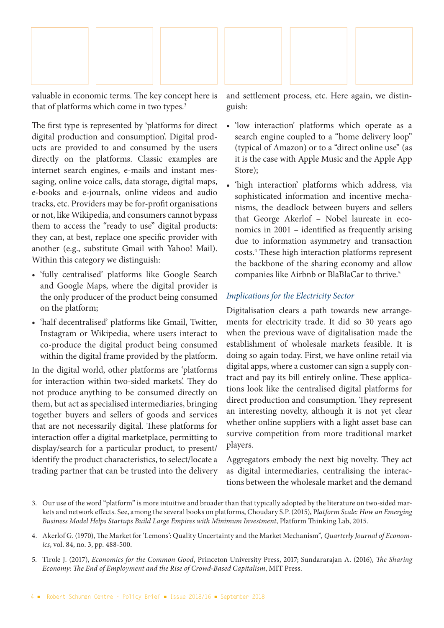

valuable in economic terms. The key concept here is that of platforms which come in two types.<sup>3</sup>

The first type is represented by 'platforms for direct digital production and consumption'. Digital products are provided to and consumed by the users directly on the platforms. Classic examples are internet search engines, e-mails and instant messaging, online voice calls, data storage, digital maps, e-books and e-journals, online videos and audio tracks, etc. Providers may be for-profit organisations or not, like Wikipedia, and consumers cannot bypass them to access the "ready to use" digital products: they can, at best, replace one specific provider with another (e.g., substitute Gmail with Yahoo! Mail). Within this category we distinguish:

- 'fully centralised' platforms like Google Search and Google Maps, where the digital provider is the only producer of the product being consumed on the platform;
- 'half decentralised' platforms like Gmail, Twitter, Instagram or Wikipedia, where users interact to co-produce the digital product being consumed within the digital frame provided by the platform.

In the digital world, other platforms are 'platforms for interaction within two-sided markets'. They do not produce anything to be consumed directly on them, but act as specialised intermediaries, bringing together buyers and sellers of goods and services that are not necessarily digital. These platforms for interaction offer a digital marketplace, permitting to display/search for a particular product, to present/ identify the product characteristics, to select/locate a trading partner that can be trusted into the delivery and settlement process, etc. Here again, we distinguish:

- 'low interaction' platforms which operate as a search engine coupled to a "home delivery loop" (typical of Amazon) or to a "direct online use" (as it is the case with Apple Music and the Apple App Store);
- 'high interaction' platforms which address, via sophisticated information and incentive mechanisms, the deadlock between buyers and sellers that George Akerlof – Nobel laureate in economics in 2001 – identified as frequently arising due to information asymmetry and transaction costs.4 These high interaction platforms represent the backbone of the sharing economy and allow companies like Airbnb or BlaBlaCar to thrive.5

#### *Implications for the Electricity Sector*

Digitalisation clears a path towards new arrangements for electricity trade. It did so 30 years ago when the previous wave of digitalisation made the establishment of wholesale markets feasible. It is doing so again today. First, we have online retail via digital apps, where a customer can sign a supply contract and pay its bill entirely online. These applications look like the centralised digital platforms for direct production and consumption. They represent an interesting novelty, although it is not yet clear whether online suppliers with a light asset base can survive competition from more traditional market players.

Aggregators embody the next big novelty. They act as digital intermediaries, centralising the interactions between the wholesale market and the demand

<sup>3.</sup> Our use of the word "platform" is more intuitive and broader than that typically adopted by the literature on two-sided markets and network effects. See, among the several books on platforms, Choudary S.P. (2015), P*latform Scale: How an Emerging Business Model Helps Startups Build Large Empires with Minimum Investment*, Platform Thinking Lab, 2015.

<sup>4.</sup> Akerlof G. (1970), The Market for 'Lemons': Quality Uncertainty and the Market Mechanism", *Quarterly Journal of Economics*, vol. 84, no. 3, pp. 488-500.

<sup>5.</sup> Tirole J. (2017), *Economics for the Common Good*, Princeton University Press, 2017; Sundararajan A. (2016), *The Sharing Economy: The End of Employment and the Rise of Crowd-Based Capitalism*, MIT Press.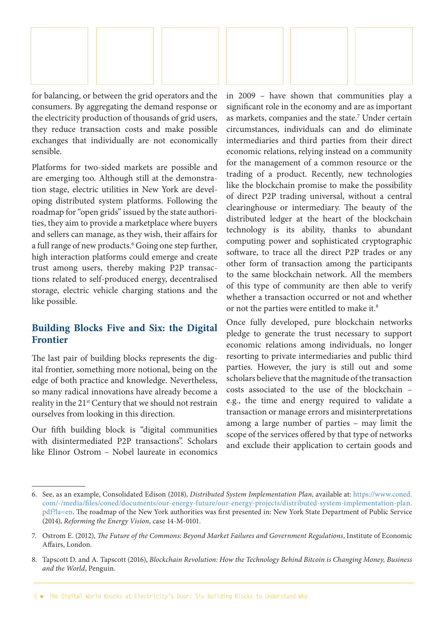

for balancing, or between the grid operators and the consumers. By aggregating the demand response or the electricity production of thousands of grid users, they reduce transaction costs and make possible exchanges that individually are not economically sensible.

Platforms for two-sided markets are possible and are emerging too. Although still at the demonstration stage, electric utilities in New York are developing distributed system platforms. Following the roadmap for "open grids" issued by the state authorities, they aim to provide a marketplace where buyers and sellers can manage, as they wish, their affairs for a full range of new products.6 Going one step further, high interaction platforms could emerge and create trust among users, thereby making P2P transactions related to self-produced energy, decentralised storage, electric vehicle charging stations and the like possible.

## **Building Blocks Five and Six: the Digital Frontier**

The last pair of building blocks represents the digital frontier, something more notional, being on the edge of both practice and knowledge. Nevertheless, so many radical innovations have already become a reality in the 21st Century that we should not restrain ourselves from looking in this direction.

Our fifth building block is "digital communities with disintermediated P2P transactions". Scholars like Elinor Ostrom – Nobel laureate in economics

in 2009 – have shown that communities play a significant role in the economy and are as important as markets, companies and the state.<sup>7</sup> Under certain circumstances, individuals can and do eliminate intermediaries and third parties from their direct economic relations, relying instead on a community for the management of a common resource or the trading of a product. Recently, new technologies like the blockchain promise to make the possibility of direct P2P trading universal, without a central clearinghouse or intermediary. The beauty of the distributed ledger at the heart of the blockchain technology is its ability, thanks to abundant computing power and sophisticated cryptographic software, to trace all the direct P2P trades or any other form of transaction among the participants to the same blockchain network. All the members of this type of community are then able to verify whether a transaction occurred or not and whether or not the parties were entitled to make it.8

Once fully developed, pure blockchain networks pledge to generate the trust necessary to support economic relations among individuals, no longer resorting to private intermediaries and public third parties. However, the jury is still out and some scholars believe that the magnitude of the transaction costs associated to the use of the blockchain – e.g., the time and energy required to validate a transaction or manage errors and misinterpretations among a large number of parties – may limit the scope of the services offered by that type of networks and exclude their application to certain goods and

<sup>6.</sup> See, as an example, Consolidated Edison (2018), *Distributed System Implementation Plan*, available at: https://www.coned. com/-/media/files/coned/documents/our-energy-future/our-energy-projects/distributed-system-implementation-plan. pdf?la=en. The roadmap of the New York authorities was first presented in: New York State Department of Public Service (2014), *Reforming the Energy Vision*, case 14-M-0101.

<sup>7.</sup> Ostrom E. (2012), *The Future of the Commons: Beyond Market Failures and Government Regulations*, Institute of Economic Affairs, London.

<sup>8.</sup> Tapscott D. and A. Tapscott (2016), *Blockchain Revolution: How the Technology Behind Bitcoin is Changing Money, Business and the World*, Penguin.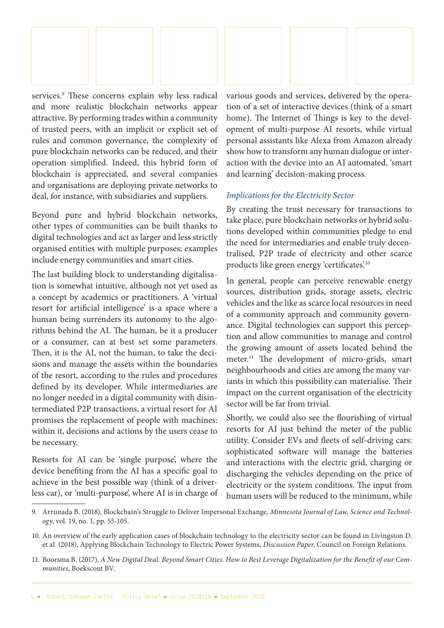

services.<sup>9</sup> These concerns explain why less radical and more realistic blockchain networks appear attractive. By performing trades within a community of trusted peers, with an implicit or explicit set of rules and common governance, the complexity of pure blockchain networks can be reduced, and their operation simplified. Indeed, this hybrid form of blockchain is appreciated, and several companies and organisations are deploying private networks to deal, for instance, with subsidiaries and suppliers.

Beyond pure and hybrid blockchain networks, other types of communities can be built thanks to digital technologies and act as larger and less strictly organised entities with multiple purposes; examples include energy communities and smart cities.

The last building block to understanding digitalisation is somewhat intuitive, although not yet used as a concept by academics or practitioners. A 'virtual resort for artificial intelligence' is a space where a human being surrenders its autonomy to the algorithms behind the AI. The human, be it a producer or a consumer, can at best set some parameters. Then, it is the AI, not the human, to take the decisions and manage the assets within the boundaries of the resort, according to the rules and procedures defined by its developer. While intermediaries are no longer needed in a digital community with disintermediated P2P transactions, a virtual resort for AI promises the replacement of people with machines: within it, decisions and actions by the users cease to be necessary.

Resorts for AI can be 'single purpose', where the device benefiting from the AI has a specific goal to achieve in the best possible way (think of a driverless car), or 'multi-purpose', where AI is in charge of various goods and services, delivered by the operation of a set of interactive devices (think of a smart home). The Internet of Things is key to the development of multi-purpose AI resorts, while virtual personal assistants like Alexa from Amazon already show how to transform any human dialogue or interaction with the device into an AI automated, 'smart and learning' decision-making process.

#### *Implications for the Electricity Sector*

By creating the trust necessary for transactions to take place, pure blockchain networks or hybrid solutions developed within communities pledge to end the need for intermediaries and enable truly decentralised, P2P trade of electricity and other scarce products like green energy 'certificates'.10

In general, people can perceive renewable energy sources, distribution grids, storage assets, electric vehicles and the like as scarce local resources in need of a community approach and community governance. Digital technologies can support this perception and allow communities to manage and control the growing amount of assets located behind the meter.11 The development of micro-grids, smart neighbourhoods and cities are among the many variants in which this possibility can materialise. Their impact on the current organisation of the electricity sector will be far from trivial.

Shortly, we could also see the flourishing of virtual resorts for AI just behind the meter of the public utility. Consider EVs and fleets of self-driving cars: sophisticated software will manage the batteries and interactions with the electric grid, charging or discharging the vehicles depending on the price of electricity or the system conditions. The input from human users will be reduced to the minimum, while

<sup>9.</sup> Arrunada B. (2018), Blockchain's Struggle to Deliver Impersonal Exchange, *Minnesota Journal of Law, Science and Technolog*y, vol. 19, no. 1, pp. 55-105.

<sup>10.</sup> An overview of the early application cases of blockchain technology to the electricity sector can be found in Livingston D. et al. (2018), Applying Blockchain Technology to Electric Power Systems, *Discussion Paper*, Council on Foreign Relations.

<sup>11.</sup> Boorsma B. (2017), *A New Digital Deal. Beyond Smart Cities. How to Best Leverage Digitalization for the Benefit of our Communities*, Boekscout BV.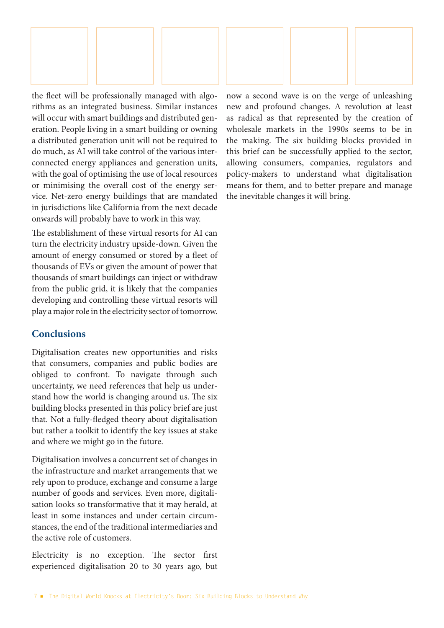

the fleet will be professionally managed with algorithms as an integrated business. Similar instances will occur with smart buildings and distributed generation. People living in a smart building or owning a distributed generation unit will not be required to do much, as AI will take control of the various interconnected energy appliances and generation units, with the goal of optimising the use of local resources or minimising the overall cost of the energy service. Net-zero energy buildings that are mandated in jurisdictions like California from the next decade onwards will probably have to work in this way.

The establishment of these virtual resorts for AI can turn the electricity industry upside-down. Given the amount of energy consumed or stored by a fleet of thousands of EVs or given the amount of power that thousands of smart buildings can inject or withdraw from the public grid, it is likely that the companies developing and controlling these virtual resorts will play a major role in the electricity sector of tomorrow.

## **Conclusions**

Digitalisation creates new opportunities and risks that consumers, companies and public bodies are obliged to confront. To navigate through such uncertainty, we need references that help us understand how the world is changing around us. The six building blocks presented in this policy brief are just that. Not a fully-fledged theory about digitalisation but rather a toolkit to identify the key issues at stake and where we might go in the future.

Digitalisation involves a concurrent set of changes in the infrastructure and market arrangements that we rely upon to produce, exchange and consume a large number of goods and services. Even more, digitalisation looks so transformative that it may herald, at least in some instances and under certain circumstances, the end of the traditional intermediaries and the active role of customers.

Electricity is no exception. The sector first experienced digitalisation 20 to 30 years ago, but now a second wave is on the verge of unleashing new and profound changes. A revolution at least as radical as that represented by the creation of wholesale markets in the 1990s seems to be in the making. The six building blocks provided in this brief can be successfully applied to the sector, allowing consumers, companies, regulators and policy-makers to understand what digitalisation means for them, and to better prepare and manage the inevitable changes it will bring.